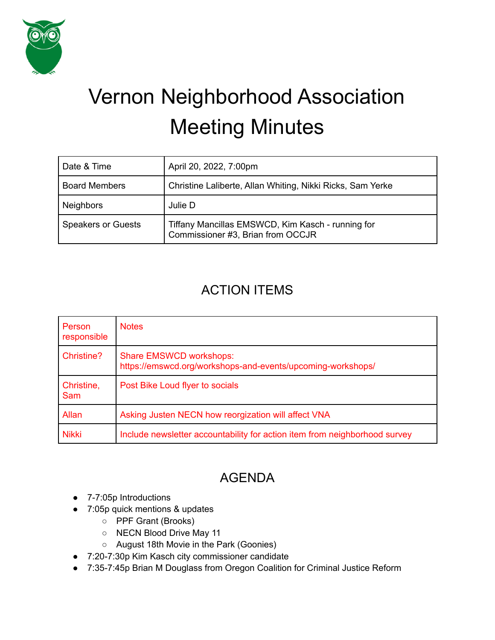

# Vernon Neighborhood Association Meeting Minutes

| Date & Time               | April 20, 2022, 7:00pm                                                                 |
|---------------------------|----------------------------------------------------------------------------------------|
| <b>Board Members</b>      | Christine Laliberte, Allan Whiting, Nikki Ricks, Sam Yerke                             |
| <b>Neighbors</b>          | Julie D                                                                                |
| <b>Speakers or Guests</b> | Tiffany Mancillas EMSWCD, Kim Kasch - running for<br>Commissioner #3, Brian from OCCJR |

## ACTION ITEMS

| Person<br>responsible | <b>Notes</b>                                                                                  |
|-----------------------|-----------------------------------------------------------------------------------------------|
| Christine?            | <b>Share EMSWCD workshops:</b><br>https://emswcd.org/workshops-and-events/upcoming-workshops/ |
| Christine,<br>Sam     | Post Bike Loud flyer to socials                                                               |
| Allan                 | Asking Justen NECN how reorgization will affect VNA                                           |
| <b>Nikki</b>          | Include newsletter accountability for action item from neighborhood survey                    |

# AGENDA

- 7-7:05p Introductions
- 7:05p quick mentions & updates
	- PPF Grant (Brooks)
	- NECN Blood Drive May 11
	- August 18th Movie in the Park (Goonies)
- 7:20-7:30p Kim Kasch city commissioner candidate
- 7:35-7:45p Brian M Douglass from Oregon Coalition for Criminal Justice Reform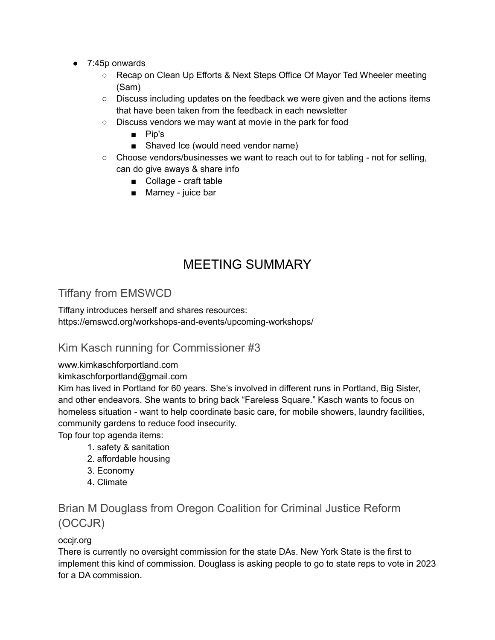- 7:45p onwards
	- Recap on Clean Up Efforts & Next Steps Office Of Mayor Ted Wheeler meeting (Sam)
	- Discuss including updates on the feedback we were given and the actions items that have been taken from the feedback in each newsletter
	- Discuss vendors we may want at movie in the park for food
		- Pip's
		- Shaved Ice (would need vendor name)
	- $\circ$  Choose vendors/businesses we want to reach out to for tabling not for selling, can do give aways & share info
		- Collage craft table
		- Mamey juice bar

# MEETING SUMMARY

## Tiffany from EMSWCD

Tiffany introduces herself and shares resources: https://emswcd.org/workshops-and-events/upcoming-workshops/

#### Kim Kasch running for Commissioner #3

www.kimkaschforportland.com

#### kimkaschforportland@gmail.com

Kim has lived in Portland for 60 years. She's involved in different runs in Portland, Big Sister, and other endeavors. She wants to bring back "Fareless Square." Kasch wants to focus on homeless situation - want to help coordinate basic care, for mobile showers, laundry facilities, community gardens to reduce food insecurity.

Top four top agenda items:

- 1. safety & sanitation
- 2. affordable housing
- 3. Economy
- 4. Climate

## Brian M Douglass from Oregon Coalition for Criminal Justice Reform (OCCJR)

#### occjr.org

There is currently no oversight commission for the state DAs. New York State is the first to implement this kind of commission. Douglass is asking people to go to state reps to vote in 2023 for a DA commission.